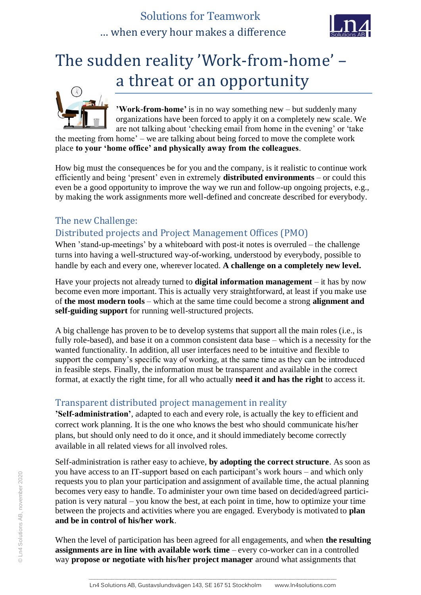## Solutions for Teamwork … when every hour makes a difference



# The sudden reality 'Work-from-home' – a threat or an opportunity



**'Work-from-home'** is in no way something new – but suddenly many organizations have been forced to apply it on a completely new scale. We are not talking about 'checking email from home in the evening' or 'take

the meeting from home' – we are talking about being forced to move the complete work place **to your 'home office' and physically away from the colleagues**.

How big must the consequences be for you and the company, is it realistic to continue work efficiently and being 'present' even in extremely **distributed environments** – or could this even be a good opportunity to improve the way we run and follow-up ongoing projects, e.g., by making the work assignments more well-defined and concreate described for everybody.

## The new Challenge:

## Distributed projects and Project Management Offices (PMO)

When 'stand-up-meetings' by a whiteboard with post-it notes is overruled – the challenge turns into having a well-structured way-of-working, understood by everybody, possible to handle by each and every one, wherever located. **A challenge on a completely new level.**

Have your projects not already turned to **digital information management** – it has by now become even more important. This is actually very straightforward, at least if you make use of **the most modern tools** – which at the same time could become a strong **alignment and self-guiding support** for running well-structured projects.

A big challenge has proven to be to develop systems that support all the main roles (i.e., is fully role-based), and base it on a common consistent data base – which is a necessity for the wanted functionality. In addition, all user interfaces need to be intuitive and flexible to support the company's specific way of working, at the same time as they can be introduced in feasible steps. Finally, the information must be transparent and available in the correct format, at exactly the right time, for all who actually **need it and has the right** to access it.

## Transparent distributed project management in reality

**'Self-administration'**, adapted to each and every role, is actually the key to efficient and correct work planning. It is the one who knows the best who should communicate his/her plans, but should only need to do it once, and it should immediately become correctly available in all related views for all involved roles.

Self-administration is rather easy to achieve, **by adopting the correct structure**. As soon as you have access to an IT-support based on each participant's work hours – and which only requests you to plan your participation and assignment of available time, the actual planning becomes very easy to handle. To administer your own time based on decided/agreed participation is very natural – you know the best, at each point in time, how to optimize your time between the projects and activities where you are engaged. Everybody is motivated to **plan and be in control of his/her work**.

When the level of participation has been agreed for all engagements, and when **the resulting assignments are in line with available work time** – every co-worker can in a controlled way **propose or negotiate with his/her project manager** around what assignments that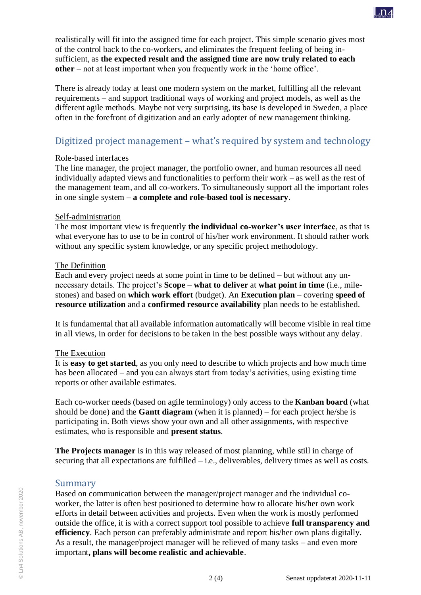realistically will fit into the assigned time for each project. This simple scenario gives most of the control back to the co-workers, and eliminates the frequent feeling of being insufficient, as **the expected result and the assigned time are now truly related to each other** – not at least important when you frequently work in the 'home office'.

There is already today at least one modern system on the market, fulfilling all the relevant requirements – and support traditional ways of working and project models, as well as the different agile methods. Maybe not very surprising, its base is developed in Sweden, a place often in the forefront of digitization and an early adopter of new management thinking.

## Digitized project management – what's required by system and technology

#### Role-based interfaces

The line manager, the project manager, the portfolio owner, and human resources all need individually adapted views and functionalities to perform their work – as well as the rest of the management team, and all co-workers. To simultaneously support all the important roles in one single system – **a complete and role-based tool is necessary**.

#### Self-administration

The most important view is frequently **the individual co-worker's user interface**, as that is what everyone has to use to be in control of his/her work environment. It should rather work without any specific system knowledge, or any specific project methodology.

#### The Definition

Each and every project needs at some point in time to be defined – but without any unnecessary details. The project's **Scope** – **what to deliver** at **what point in time** (i.e., milestones) and based on **which work effort** (budget). An **Execution plan** – covering **speed of resource utilization** and a **confirmed resource availability** plan needs to be established.

It is fundamental that all available information automatically will become visible in real time in all views, in order for decisions to be taken in the best possible ways without any delay.

#### The Execution

It is **easy to get started**, as you only need to describe to which projects and how much time has been allocated – and you can always start from today's activities, using existing time reports or other available estimates.

Each co-worker needs (based on agile terminology) only access to the **Kanban board** (what should be done) and the **Gantt diagram** (when it is planned) – for each project he/she is participating in. Both views show your own and all other assignments, with respective estimates, who is responsible and **present status**.

**The Projects manager** is in this way released of most planning, while still in charge of securing that all expectations are fulfilled – i.e., deliverables, delivery times as well as costs.

#### Summary

Based on communication between the manager/project manager and the individual coworker, the latter is often best positioned to determine how to allocate his/her own work efforts in detail between activities and projects. Even when the work is mostly performed outside the office, it is with a correct support tool possible to achieve **full transparency and efficiency**. Each person can preferably administrate and report his/her own plans digitally. As a result, the manager/project manager will be relieved of many tasks – and even more important**, plans will become realistic and achievable**.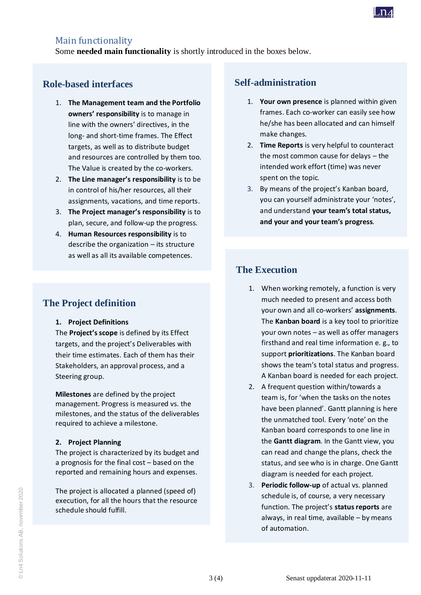

#### Main functionality

Some **needed main functionality** is shortly introduced in the boxes below.

## **Role-based interfaces**

- 1. **The Management team and the Portfolio owners' responsibility** is to manage in line with the owners' directives, in the long- and short-time frames. The Effect targets, as well as to distribute budget and resources are controlled by them too. The Value is created by the co-workers.
- 2. **The Line manager's responsibility** is to be in control of his/her resources, all their assignments, vacations, and time reports.
- 3. **The Project manager's responsibility** is to plan, secure, and follow-up the progress.
- 4. **Human Resources responsibility** is to describe the organization – its structure as well as all its available competences.

## **The Project definition**

#### **1. Project Definitions**

The **Project's scope** is defined by its Effect targets, and the project's Deliverables with their time estimates. Each of them has their Stakeholders, an approval process, and a Steering group.

**Milestones** are defined by the project management. Progress is measured vs. the milestones, and the status of the deliverables required to achieve a milestone.

#### **2. Project Planning**

The project is characterized by its budget and a prognosis for the final cost – based on the reported and remaining hours and expenses.

The project is allocated a planned (speed of) execution, for all the hours that the resource schedule should fulfill.

## **Self-administration**

- 1. **Your own presence** is planned within given frames. Each co-worker can easily see how he/she has been allocated and can himself make changes.
- 2. **Time Reports** is very helpful to counteract the most common cause for delays – the intended work effort (time) was never spent on the topic.
- 3. By means of the project's Kanban board, you can yourself administrate your 'notes', and understand **your team's total status, and your and your team's progress**.

## **The Execution**

- 1. When working remotely, a function is very much needed to present and access both your own and all co-workers' **assignments**. The **Kanban board** is a key tool to prioritize your own notes – as well as offer managers firsthand and real time information e. g., to support **prioritizations**. The Kanban board shows the team's total status and progress. A Kanban board is needed for each project.
- 2. A frequent question within/towards a team is, for 'when the tasks on the notes have been planned'. Gantt planning is here the unmatched tool. Every 'note' on the Kanban board corresponds to one line in the **Gantt diagram**. In the Gantt view, you can read and change the plans, check the status, and see who is in charge. One Gantt diagram is needed for each project.
- 3. **Periodic follow-up** of actual vs. planned schedule is, of course, a very necessary function. The project's **status reports** are always, in real time, available – by means of automation.